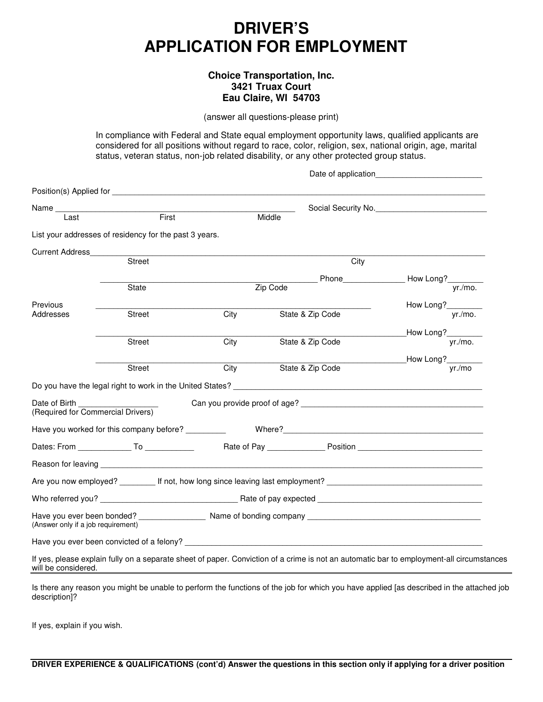# **DRIVER'S APPLICATION FOR EMPLOYMENT**

## **Choice Transportation, Inc. 3421 Truax Court Eau Claire, WI 54703**

(answer all questions-please print)

In compliance with Federal and State equal employment opportunity laws, qualified applicants are considered for all positions without regard to race, color, religion, sex, national origin, age, marital status, veteran status, non-job related disability, or any other protected group status.

|                                                    |                                                        |      | Date of application                                                                                                  |                                                                                                                                          |
|----------------------------------------------------|--------------------------------------------------------|------|----------------------------------------------------------------------------------------------------------------------|------------------------------------------------------------------------------------------------------------------------------------------|
|                                                    |                                                        |      |                                                                                                                      |                                                                                                                                          |
|                                                    |                                                        |      |                                                                                                                      | Social Security No.                                                                                                                      |
| Last                                               | First                                                  |      | Middle                                                                                                               |                                                                                                                                          |
|                                                    | List your addresses of residency for the past 3 years. |      |                                                                                                                      |                                                                                                                                          |
| <b>Current Address</b>                             |                                                        |      |                                                                                                                      |                                                                                                                                          |
|                                                    | <b>Street</b>                                          |      | City                                                                                                                 |                                                                                                                                          |
|                                                    |                                                        |      |                                                                                                                      |                                                                                                                                          |
|                                                    | <b>State</b>                                           |      | Zip Code                                                                                                             |                                                                                                                                          |
| Previous                                           |                                                        |      |                                                                                                                      | How Long?                                                                                                                                |
| Addresses                                          | <b>Street</b>                                          | City | State & Zip Code                                                                                                     | yr./mo.                                                                                                                                  |
|                                                    |                                                        |      |                                                                                                                      | How Long?_________                                                                                                                       |
|                                                    | <b>Street</b>                                          | City | State & Zip Code                                                                                                     | yr./mo.                                                                                                                                  |
|                                                    |                                                        |      |                                                                                                                      | How Long?                                                                                                                                |
|                                                    | Street                                                 | City | State & Zip Code                                                                                                     | yr./mo                                                                                                                                   |
|                                                    |                                                        |      |                                                                                                                      |                                                                                                                                          |
| Date of Birth<br>(Required for Commercial Drivers) |                                                        |      |                                                                                                                      |                                                                                                                                          |
|                                                    |                                                        |      |                                                                                                                      |                                                                                                                                          |
|                                                    |                                                        |      |                                                                                                                      |                                                                                                                                          |
|                                                    |                                                        |      |                                                                                                                      |                                                                                                                                          |
|                                                    |                                                        |      | Are you now employed? __________ If not, how long since leaving last employment? _____________________________       |                                                                                                                                          |
|                                                    |                                                        |      | Who referred you? Note a series and the series of pay expected the series of pay expected the series of pay expected |                                                                                                                                          |
| (Answer only if a job requirement)                 |                                                        |      |                                                                                                                      |                                                                                                                                          |
|                                                    |                                                        |      |                                                                                                                      |                                                                                                                                          |
| will be considered.                                |                                                        |      |                                                                                                                      | If yes, please explain fully on a separate sheet of paper. Conviction of a crime is not an automatic bar to employment-all circumstances |

Is there any reason you might be unable to perform the functions of the job for which you have applied [as described in the attached job description]?

If yes, explain if you wish.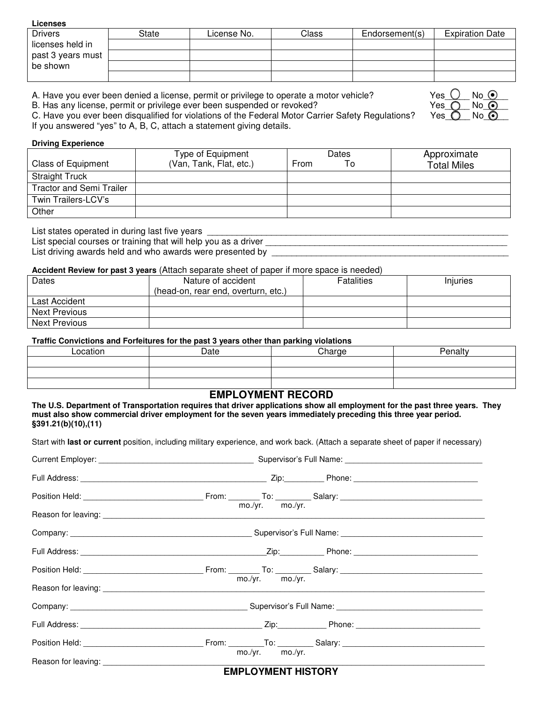## **Licenses**

| <b>Drivers</b>    | State | License No. | Class | Endorsement(s) | <b>Expiration Date</b> |
|-------------------|-------|-------------|-------|----------------|------------------------|
| licenses held in  |       |             |       |                |                        |
| past 3 years must |       |             |       |                |                        |
| be shown          |       |             |       |                |                        |
|                   |       |             |       |                |                        |

A. Have you ever been denied a license, permit or privilege to operate a motor vehicle?

B. Has any license, permit or privilege ever been suspended or revoked?

| Yes. | No  | 6€ |
|------|-----|----|
| Yes. | No. |    |
| Yes  | No. |    |

C. Have you ever been disqualified for violations of the Federal Motor Carrier Safety Regulations? If you answered "yes" to A, B, C, attach a statement giving details.

## **Driving Experience**

|                                 | Type of Equipment       | Dates      | Approximate        |
|---------------------------------|-------------------------|------------|--------------------|
| <b>Class of Equipment</b>       | (Van, Tank, Flat, etc.) | From<br>To | <b>Total Miles</b> |
| <b>Straight Truck</b>           |                         |            |                    |
| <b>Tractor and Semi Trailer</b> |                         |            |                    |
| Twin Trailers-LCV's             |                         |            |                    |
| Other                           |                         |            |                    |

List states operated in during last five years

| List special courses or training that will help you as a driver |  |
|-----------------------------------------------------------------|--|
| List driving awards held and who awards were presented by       |  |

## **Accident Review for past 3 years** (Attach separate sheet of paper if more space is needed)

| Dates                | Nature of accident                  | <b>Fatalities</b> | Iniuries |
|----------------------|-------------------------------------|-------------------|----------|
|                      | (head-on, rear end, overturn, etc.) |                   |          |
| Last Accident        |                                     |                   |          |
| <b>Next Previous</b> |                                     |                   |          |
| <b>Next Previous</b> |                                     |                   |          |

## **Traffic Convictions and Forfeitures for the past 3 years other than parking violations**

|          |      | .      |         |
|----------|------|--------|---------|
| _ocation | Date | Charge | Penalty |
|          |      |        |         |
|          |      |        |         |
|          |      |        |         |

## **EMPLOYMENT RECORD**

**The U.S. Department of Transportation requires that driver applications show all employment for the past three years. They must also show commercial driver employment for the seven years immediately preceding this three year period. §391.21(b)(10),(11)**

Start with **last or current** position, including military experience, and work back. (Attach a separate sheet of paper if necessary)

| Reason for leaving: <u>example and contract and contract and contract and contract and contract and contract and contract and contract and contract and contract and contract and contract and contract and contract and contrac</u>              |  |  |  |  |
|---------------------------------------------------------------------------------------------------------------------------------------------------------------------------------------------------------------------------------------------------|--|--|--|--|
|                                                                                                                                                                                                                                                   |  |  |  |  |
|                                                                                                                                                                                                                                                   |  |  |  |  |
|                                                                                                                                                                                                                                                   |  |  |  |  |
| mo./yr. mo./yr.<br>Reason for leaving: example and a series of the series of the series of the series of the series of the series of the series of the series of the series of the series of the series of the series of the series of the series |  |  |  |  |
| Company: Company: Company: Company: Company: Company: Company: Company: Company: Company: Company: Company: Company: Company: Company: Company: Company: Company: Company: Company: Company: Company: Company: Company: Compan                    |  |  |  |  |
|                                                                                                                                                                                                                                                   |  |  |  |  |
|                                                                                                                                                                                                                                                   |  |  |  |  |
| mo./yr. mo./yr.                                                                                                                                                                                                                                   |  |  |  |  |
| <b>EMPLOYMENT HISTORY</b>                                                                                                                                                                                                                         |  |  |  |  |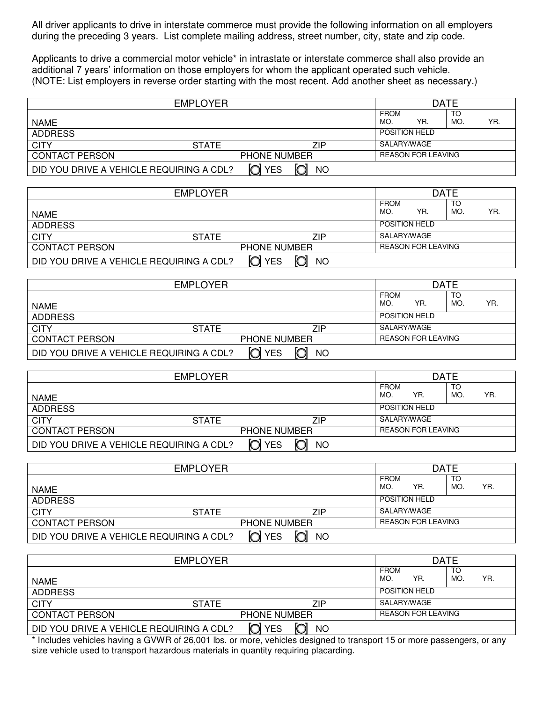All driver applicants to drive in interstate commerce must provide the following information on all employers during the preceding 3 years. List complete mailing address, street number, city, state and zip code.

Applicants to drive a commercial motor vehicle\* in intrastate or interstate commerce shall also provide an additional 7 years' information on those employers for whom the applicant operated such vehicle. (NOTE: List employers in reverse order starting with the most recent. Add another sheet as necessary.)

| <b>EMPLOYER</b>                          |              |                     | <b>DATE</b> |  |                           |     |           |     |
|------------------------------------------|--------------|---------------------|-------------|--|---------------------------|-----|-----------|-----|
| <b>NAME</b>                              |              |                     |             |  | <b>FROM</b><br>MO.        | YR. | TO<br>MO. | YR. |
| <b>ADDRESS</b>                           |              |                     |             |  | <b>POSITION HELD</b>      |     |           |     |
| <b>CITY</b>                              | <b>STATE</b> |                     | ZIP         |  | SALARY/WAGE               |     |           |     |
| <b>CONTACT PERSON</b>                    |              | <b>PHONE NUMBER</b> |             |  | <b>REASON FOR LEAVING</b> |     |           |     |
| DID YOU DRIVE A VEHICLE REQUIRING A CDL? |              | <b>YES</b>          | NO          |  |                           |     |           |     |

| <b>EMPLOYER</b>                          |              |                     |     | <b>DATE</b> |                      |                           |           |     |
|------------------------------------------|--------------|---------------------|-----|-------------|----------------------|---------------------------|-----------|-----|
| <b>NAME</b>                              |              |                     |     |             | <b>FROM</b><br>MO.   | YR.                       | TO<br>MO. | YR. |
| <b>ADDRESS</b>                           |              |                     |     |             | <b>POSITION HELD</b> |                           |           |     |
|                                          |              |                     |     |             |                      |                           |           |     |
| <b>CITY</b>                              | <b>STATE</b> |                     | ZIP |             | SALARY/WAGE          |                           |           |     |
| <b>CONTACT PERSON</b>                    |              | <b>PHONE NUMBER</b> |     |             |                      | <b>REASON FOR LEAVING</b> |           |     |
| DID YOU DRIVE A VEHICLE REQUIRING A CDL? |              | n<br><b>YES</b>     | NΟ  |             |                      |                           |           |     |

| <b>EMPLOYER</b>                          |                     |              | <b>DATE</b> |                           |                      |     |     |     |
|------------------------------------------|---------------------|--------------|-------------|---------------------------|----------------------|-----|-----|-----|
|                                          |                     |              |             |                           | <b>FROM</b>          |     | ТC  |     |
| <b>NAME</b>                              |                     |              |             |                           | MO.                  | YR. | MO. | YR. |
| <b>ADDRESS</b>                           |                     |              |             |                           | <b>POSITION HELD</b> |     |     |     |
| <b>CITY</b>                              | <b>STATE</b>        |              | ZIP         |                           | SALARY/WAGE          |     |     |     |
| <b>CONTACT PERSON</b>                    | <b>PHONE NUMBER</b> |              |             | <b>REASON FOR LEAVING</b> |                      |     |     |     |
| DID YOU DRIVE A VEHICLE REQUIRING A CDL? |                     | <b>O</b> YES | <b>NO</b>   |                           |                      |     |     |     |

| <b>EMPLOYER</b>                          |                     |                  | <b>DATE</b> |                           |                    |                      |           |     |
|------------------------------------------|---------------------|------------------|-------------|---------------------------|--------------------|----------------------|-----------|-----|
| <b>NAME</b>                              |                     |                  |             |                           | <b>FROM</b><br>MO. | YR.                  | TO<br>MO. | YR. |
| <b>ADDRESS</b>                           |                     |                  |             |                           |                    | <b>POSITION HELD</b> |           |     |
| <b>CITY</b>                              | <b>STATE</b>        |                  | ZIP         |                           | SALARY/WAGE        |                      |           |     |
| <b>CONTACT PERSON</b>                    | <b>PHONE NUMBER</b> |                  |             | <b>REASON FOR LEAVING</b> |                    |                      |           |     |
| DID YOU DRIVE A VEHICLE REQUIRING A CDL? |                     | റി<br><b>YES</b> | ΝO          |                           |                    |                      |           |     |

| <b>EMPLOYER</b>                          |              |                     |     |  | <b>DATE</b>        |                           |           |     |
|------------------------------------------|--------------|---------------------|-----|--|--------------------|---------------------------|-----------|-----|
|                                          |              |                     |     |  | <b>FROM</b><br>MO. | YR.                       | TO<br>MO. | YR. |
| NAME                                     |              |                     |     |  |                    |                           |           |     |
| <b>ADDRESS</b>                           |              |                     |     |  |                    | <b>POSITION HELD</b>      |           |     |
| <b>CITY</b>                              | <b>STATE</b> |                     | ZIP |  |                    | SALARY/WAGE               |           |     |
| <b>CONTACT PERSON</b>                    |              | <b>PHONE NUMBER</b> |     |  |                    | <b>REASON FOR LEAVING</b> |           |     |
| DID YOU DRIVE A VEHICLE REQUIRING A CDL? | n            | <b>YES</b>          | NO  |  |                    |                           |           |     |

| <b>EMPLOYER</b>                          |              |                     |           |  |                    | <b>DATE</b>               |           |     |  |
|------------------------------------------|--------------|---------------------|-----------|--|--------------------|---------------------------|-----------|-----|--|
| <b>NAME</b>                              |              |                     |           |  | <b>FROM</b><br>MO. | YR.                       | TO<br>MO. | YR. |  |
| <b>ADDRESS</b>                           |              |                     |           |  |                    | <b>POSITION HELD</b>      |           |     |  |
| <b>CITY</b>                              | <b>STATE</b> |                     | ZIP       |  | SALARY/WAGE        |                           |           |     |  |
| <b>CONTACT PERSON</b>                    |              | <b>PHONE NUMBER</b> |           |  |                    | <b>REASON FOR LEAVING</b> |           |     |  |
| DID YOU DRIVE A VEHICLE REQUIRING A CDL? |              | n<br><b>YES</b>     | <b>NO</b> |  |                    |                           |           |     |  |

\* Includes vehicles having a GVWR of 26,001 lbs. or more, vehicles designed to transport 15 or more passengers, or any size vehicle used to transport hazardous materials in quantity requiring placarding.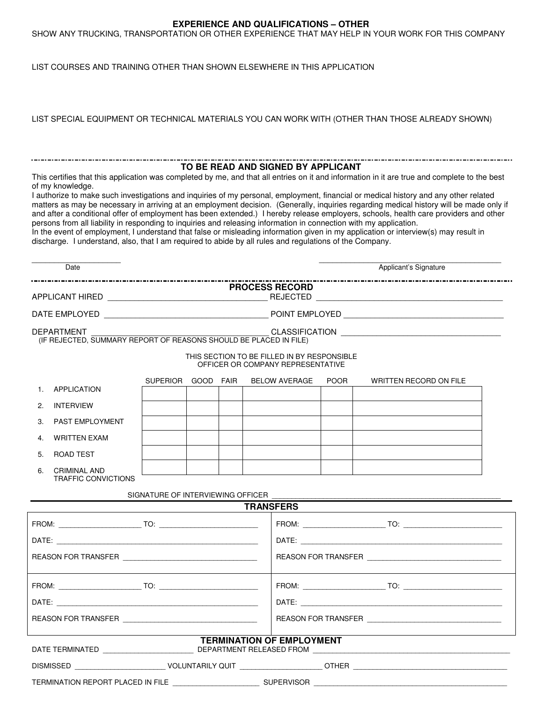## **EXPERIENCE AND QUALIFICATIONS – OTHER**

SHOW ANY TRUCKING, TRANSPORTATION OR OTHER EXPERIENCE THAT MAY HELP IN YOUR WORK FOR THIS COMPANY

LIST COURSES AND TRAINING OTHER THAN SHOWN ELSEWHERE IN THIS APPLICATION

| LIST SPECIAL EQUIPMENT OR TECHNICAL MATERIALS YOU CAN WORK WITH (OTHER THAN THOSE ALREADY SHOWN) |  |
|--------------------------------------------------------------------------------------------------|--|
|                                                                                                  |  |

## **TO BE READ AND SIGNED BY APPLICANT**

This certifies that this application was completed by me, and that all entries on it and information in it are true and complete to the best of my knowledge.

I authorize to make such investigations and inquiries of my personal, employment, financial or medical history and any other related matters as may be necessary in arriving at an employment decision. (Generally, inquiries regarding medical history will be made only if and after a conditional offer of employment has been extended.) I hereby release employers, schools, health care providers and other persons from all liability in responding to inquiries and releasing information in connection with my application.

In the event of employment, I understand that false or misleading information given in my application or interview(s) may result in discharge. I understand, also, that I am required to abide by all rules and regulations of the Company.

| Date                                                                                                           |                                   |  |  |                                  |  |             | Applicant's Signature                                                                                          |
|----------------------------------------------------------------------------------------------------------------|-----------------------------------|--|--|----------------------------------|--|-------------|----------------------------------------------------------------------------------------------------------------|
|                                                                                                                |                                   |  |  | <b>PROCESS RECORD</b>            |  |             |                                                                                                                |
|                                                                                                                |                                   |  |  |                                  |  |             |                                                                                                                |
| <b>DEPARTMENT</b><br>(IF REJECTED, SUMMARY REPORT OF REASONS SHOULD BE PLACED IN FILE)                         |                                   |  |  |                                  |  |             |                                                                                                                |
| THIS SECTION TO BE FILLED IN BY RESPONSIBLE<br>OFFICER OR COMPANY REPRESENTATIVE                               |                                   |  |  |                                  |  |             |                                                                                                                |
| APPLICATION<br>$1_{-}$                                                                                         | SUPERIOR GOOD FAIR                |  |  | <b>BELOW AVERAGE</b>             |  | <b>POOR</b> | WRITTEN RECORD ON FILE                                                                                         |
| 2.<br><b>INTERVIEW</b>                                                                                         |                                   |  |  |                                  |  |             |                                                                                                                |
| 3 <sub>1</sub><br>PAST EMPLOYMENT                                                                              |                                   |  |  |                                  |  |             |                                                                                                                |
| 4.<br><b>WRITTEN EXAM</b>                                                                                      |                                   |  |  |                                  |  |             |                                                                                                                |
| 5.<br>ROAD TEST                                                                                                |                                   |  |  |                                  |  |             |                                                                                                                |
| <b>CRIMINAL AND</b><br>6.<br><b>TRAFFIC CONVICTIONS</b>                                                        |                                   |  |  |                                  |  |             |                                                                                                                |
|                                                                                                                | SIGNATURE OF INTERVIEWING OFFICER |  |  | <b>TRANSFERS</b>                 |  |             |                                                                                                                |
|                                                                                                                |                                   |  |  |                                  |  |             |                                                                                                                |
|                                                                                                                |                                   |  |  |                                  |  |             |                                                                                                                |
| REASON FOR TRANSFER                                                                                            |                                   |  |  |                                  |  |             | REASON FOR TRANSFER                                                                                            |
|                                                                                                                |                                   |  |  |                                  |  |             |                                                                                                                |
|                                                                                                                |                                   |  |  |                                  |  |             |                                                                                                                |
| REASON FOR TRANSFER THE STATE OF THE STATE OF THE STATE OF THE STATE OF THE STATE OF THE STATE OF THE STATE OF |                                   |  |  |                                  |  |             |                                                                                                                |
|                                                                                                                |                                   |  |  | <b>TERMINATION OF EMPLOYMENT</b> |  |             |                                                                                                                |
|                                                                                                                |                                   |  |  |                                  |  |             | DISMISSED ____________________________VOLUNTARILY QUIT ____________________OTHER _____________________________ |
|                                                                                                                |                                   |  |  |                                  |  |             |                                                                                                                |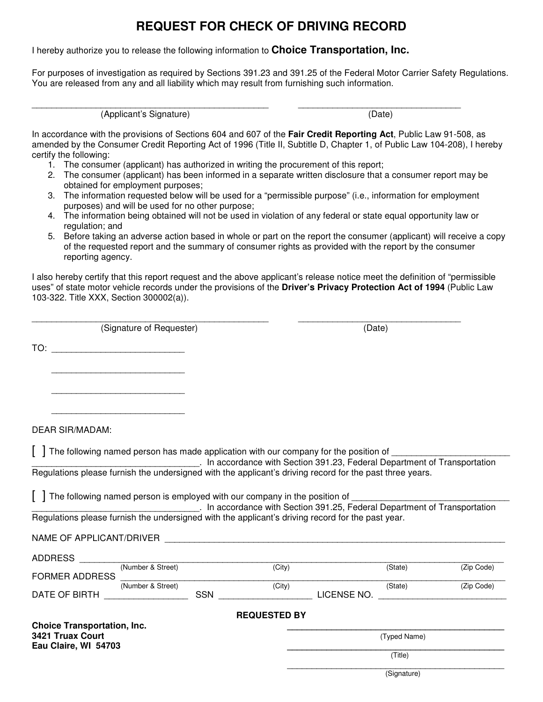## **REQUEST FOR CHECK OF DRIVING RECORD**

I hereby authorize you to release the following information to **Choice Transportation, Inc.** 

For purposes of investigation as required by Sections 391.23 and 391.25 of the Federal Motor Carrier Safety Regulations. You are released from any and all liability which may result from furnishing such information.

(Applicant's Signature) (Date)

\_\_\_\_\_\_\_\_\_\_\_\_\_\_\_\_\_\_\_\_\_\_\_\_\_\_\_\_\_\_\_\_\_\_\_\_\_\_\_\_\_\_\_\_\_\_\_\_ \_\_\_\_\_\_\_\_\_\_\_\_\_\_\_\_\_\_\_\_\_\_\_\_\_\_\_\_\_\_\_\_\_

In accordance with the provisions of Sections 604 and 607 of the **Fair Credit Reporting Act**, Public Law 91-508, as amended by the Consumer Credit Reporting Act of 1996 (Title II, Subtitle D, Chapter 1, of Public Law 104-208), I hereby certify the following:

- 1. The consumer (applicant) has authorized in writing the procurement of this report;
- 2. The consumer (applicant) has been informed in a separate written disclosure that a consumer report may be obtained for employment purposes;
- 3. The information requested below will be used for a "permissible purpose" (i.e., information for employment purposes) and will be used for no other purpose;
- 4. The information being obtained will not be used in violation of any federal or state equal opportunity law or regulation; and
- 5. Before taking an adverse action based in whole or part on the report the consumer (applicant) will receive a copy of the requested report and the summary of consumer rights as provided with the report by the consumer reporting agency.

I also hereby certify that this report request and the above applicant's release notice meet the definition of "permissible uses" of state motor vehicle records under the provisions of the **Driver's Privacy Protection Act of 1994** (Public Law 103-322. Title XXX, Section 300002(a)).

| _____                                                                      |        |
|----------------------------------------------------------------------------|--------|
| $1.6$ is a second formal part of $\sim$<br>.<br>. I SIODATULE OF REQUESTED | $\sim$ |

TO: \_\_\_\_\_\_\_\_\_\_\_\_\_\_\_\_\_\_\_\_\_\_\_\_\_\_\_

 $\frac{1}{2}$  ,  $\frac{1}{2}$  ,  $\frac{1}{2}$  ,  $\frac{1}{2}$  ,  $\frac{1}{2}$  ,  $\frac{1}{2}$  ,  $\frac{1}{2}$  ,  $\frac{1}{2}$  ,  $\frac{1}{2}$  ,  $\frac{1}{2}$  ,  $\frac{1}{2}$  ,  $\frac{1}{2}$  ,  $\frac{1}{2}$  ,  $\frac{1}{2}$  ,  $\frac{1}{2}$  ,  $\frac{1}{2}$  ,  $\frac{1}{2}$  ,  $\frac{1}{2}$  ,  $\frac{1$ 

\_\_\_\_\_\_\_\_\_\_\_\_\_\_\_\_\_\_\_\_\_\_\_\_\_\_\_

\_\_\_\_\_\_\_\_\_\_\_\_\_\_\_\_\_\_\_\_\_\_\_\_\_\_\_

DEAR SIR/MADAM:

 $\lceil$  1 The following named person has made application with our company for the position of  $\lceil$ 

\_\_\_\_\_\_\_\_\_\_\_\_\_\_\_\_\_\_\_\_\_\_\_\_\_\_\_\_\_\_\_\_\_\_. In accordance with Section 391.23, Federal Department of Transportation Regulations please furnish the undersigned with the applicant's driving record for the past three years.

 $\lceil$  1 The following named person is employed with our company in the position of

\_\_\_\_\_\_\_\_\_\_\_\_\_\_\_\_\_\_\_\_\_\_\_\_\_\_\_\_\_\_\_\_\_\_. In accordance with Section 391.25, Federal Department of Transportation Regulations please furnish the undersigned with the applicant's driving record for the past year.

## NAME OF APPLICANT/DRIVER

| <b>ADDRESS</b>                     |                   |            |                     |             |              |            |
|------------------------------------|-------------------|------------|---------------------|-------------|--------------|------------|
|                                    | (Number & Street) |            | (City)              |             | (State)      | (Zip Code) |
| <b>FORMER ADDRESS</b>              |                   |            |                     |             |              |            |
|                                    | (Number & Street) |            | (City)              |             | (State)      | (Zip Code) |
| DATE OF BIRTH                      |                   | <b>SSN</b> |                     | LICENSE NO. |              |            |
|                                    |                   |            |                     |             |              |            |
|                                    |                   |            | <b>REQUESTED BY</b> |             |              |            |
| <b>Choice Transportation, Inc.</b> |                   |            |                     |             |              |            |
| 3421 Truax Court                   |                   |            |                     |             | (Typed Name) |            |
| Eau Claire, WI 54703               |                   |            |                     |             |              |            |
|                                    |                   |            |                     |             | (Title)      |            |
|                                    |                   |            |                     |             |              |            |

(Signature)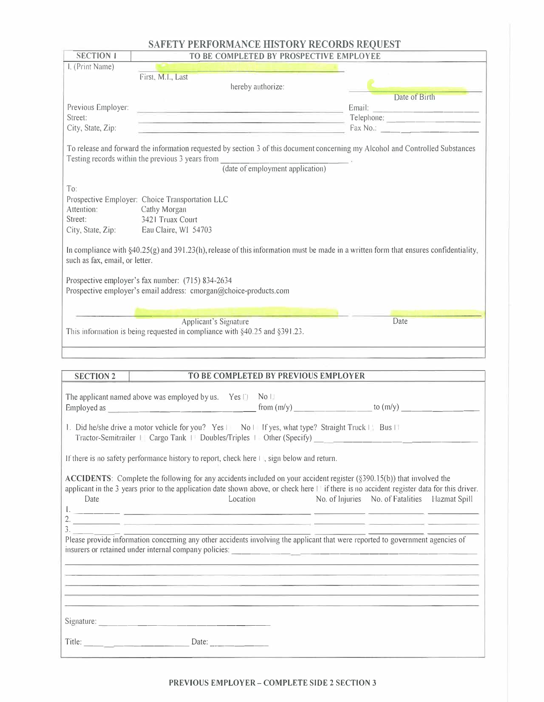## **SAFETY PERFORMANCE HISTORY RECORDS REQUEST**

| <b>SECTION 1</b>                                                            | TO BE COMPLETED BY PROSPECTIVE EMPLOYEE                                                                                                                                                                                                                                                                                                                                                                                                                                                                                                                         |                                                |
|-----------------------------------------------------------------------------|-----------------------------------------------------------------------------------------------------------------------------------------------------------------------------------------------------------------------------------------------------------------------------------------------------------------------------------------------------------------------------------------------------------------------------------------------------------------------------------------------------------------------------------------------------------------|------------------------------------------------|
| I, (Print Name)                                                             | <u>Thomas (Cherris Sous) and the first state of the state</u>                                                                                                                                                                                                                                                                                                                                                                                                                                                                                                   |                                                |
|                                                                             | First, M.I., Last                                                                                                                                                                                                                                                                                                                                                                                                                                                                                                                                               |                                                |
|                                                                             | hereby authorize:                                                                                                                                                                                                                                                                                                                                                                                                                                                                                                                                               |                                                |
|                                                                             |                                                                                                                                                                                                                                                                                                                                                                                                                                                                                                                                                                 | Date of Birth                                  |
| Previous Employer:                                                          | <u> Antonio Antonio de Antonio de Antonio de Antonio de Antonio de Antonio de Antonio de Antonio de Antonio de An</u>                                                                                                                                                                                                                                                                                                                                                                                                                                           |                                                |
| Street:<br>City, State, Zip:                                                |                                                                                                                                                                                                                                                                                                                                                                                                                                                                                                                                                                 |                                                |
|                                                                             | <b>Example 2018 Fax No.:</b> $\frac{1}{2}$ <b>Fax No.:</b> $\frac{1}{2}$ <b>Fax No.:</b> $\frac{1}{2}$                                                                                                                                                                                                                                                                                                                                                                                                                                                          |                                                |
|                                                                             | To release and forward the information requested by section 3 of this document concerning my Alcohol and Controlled Substances<br>Testing records within the previous 3 years from $\frac{1}{\text{(date of employment application)}}$ .                                                                                                                                                                                                                                                                                                                        |                                                |
|                                                                             |                                                                                                                                                                                                                                                                                                                                                                                                                                                                                                                                                                 |                                                |
| To:<br>Attention: Cathy Morgan<br>Street:<br>such as fax, email, or letter. | Prospective Employer: Choice Transportation LLC<br>3421 Truax Court<br>City, State, Zip: Eau Claire, W1 54703<br>In compliance with $\S 40.25(g)$ and $391.23(h)$ , release of this information must be made in a written form that ensures confidentiality,                                                                                                                                                                                                                                                                                                    |                                                |
|                                                                             |                                                                                                                                                                                                                                                                                                                                                                                                                                                                                                                                                                 |                                                |
|                                                                             | Prospective employer's fax number: (715) 834-2634                                                                                                                                                                                                                                                                                                                                                                                                                                                                                                               |                                                |
|                                                                             | Prospective employer's email address: cmorgan@choice-products.com                                                                                                                                                                                                                                                                                                                                                                                                                                                                                               |                                                |
|                                                                             |                                                                                                                                                                                                                                                                                                                                                                                                                                                                                                                                                                 |                                                |
|                                                                             |                                                                                                                                                                                                                                                                                                                                                                                                                                                                                                                                                                 |                                                |
|                                                                             | <b>Applicant's Signature</b><br>This information is being requested in compliance with §40.25 and §391.23.                                                                                                                                                                                                                                                                                                                                                                                                                                                      | Date                                           |
|                                                                             |                                                                                                                                                                                                                                                                                                                                                                                                                                                                                                                                                                 |                                                |
|                                                                             |                                                                                                                                                                                                                                                                                                                                                                                                                                                                                                                                                                 |                                                |
|                                                                             |                                                                                                                                                                                                                                                                                                                                                                                                                                                                                                                                                                 |                                                |
| <b>SECTION 2</b>                                                            | TO BE COMPLETED BY PREVIOUS EMPLOYER                                                                                                                                                                                                                                                                                                                                                                                                                                                                                                                            |                                                |
|                                                                             |                                                                                                                                                                                                                                                                                                                                                                                                                                                                                                                                                                 |                                                |
|                                                                             | The applicant named above was employed by us. Yes                                                                                                                                                                                                                                                                                                                                                                                                                                                                                                               |                                                |
|                                                                             |                                                                                                                                                                                                                                                                                                                                                                                                                                                                                                                                                                 |                                                |
|                                                                             | 1. Did he/she drive a motor vehicle for you? Yes   No   If yes, what type? Straight Truck   Bus    <br>Tractor-Semitrailer   Cargo Tank   Doubles/Triples   Other (Specify)                                                                                                                                                                                                                                                                                                                                                                                     |                                                |
|                                                                             | If there is no safety performance history to report, check here $\mapsto$ , sign below and return.                                                                                                                                                                                                                                                                                                                                                                                                                                                              |                                                |
|                                                                             |                                                                                                                                                                                                                                                                                                                                                                                                                                                                                                                                                                 |                                                |
| Date                                                                        | ACCIDENTS: Complete the following for any accidents included on your accident register (§390.15(b)) that involved the<br>applicant in the 3 years prior to the application date shown above, or check here II if there is no accident register data for this driver.<br>Location<br><u>l. Se provincia en la contrada de la contrada de la contrada de la contrada de la contrada de la contrada de l</u><br>$\overline{a}$ .<br>Please provide information concerning any other accidents involving the applicant that were reported to government agencies of | No. of Injuries No. of Fatalities Hazmat Spill |
|                                                                             |                                                                                                                                                                                                                                                                                                                                                                                                                                                                                                                                                                 |                                                |
|                                                                             | <u> 1980 - An Dùbhlachd ann an Dùbhlachd ann an Dùbhlachd ann an Dùbhlachd ann an Dùbhlachd ann an Dùbhlachd ann a</u>                                                                                                                                                                                                                                                                                                                                                                                                                                          |                                                |
|                                                                             |                                                                                                                                                                                                                                                                                                                                                                                                                                                                                                                                                                 |                                                |
|                                                                             |                                                                                                                                                                                                                                                                                                                                                                                                                                                                                                                                                                 |                                                |
|                                                                             | <u> 1980 - Andrea San Aonaichte ann an Cathair ann an Cathair ann an Cathair an Chuid ann an Chuid ann an Chuid an</u>                                                                                                                                                                                                                                                                                                                                                                                                                                          |                                                |
|                                                                             |                                                                                                                                                                                                                                                                                                                                                                                                                                                                                                                                                                 |                                                |
|                                                                             |                                                                                                                                                                                                                                                                                                                                                                                                                                                                                                                                                                 |                                                |
|                                                                             |                                                                                                                                                                                                                                                                                                                                                                                                                                                                                                                                                                 |                                                |